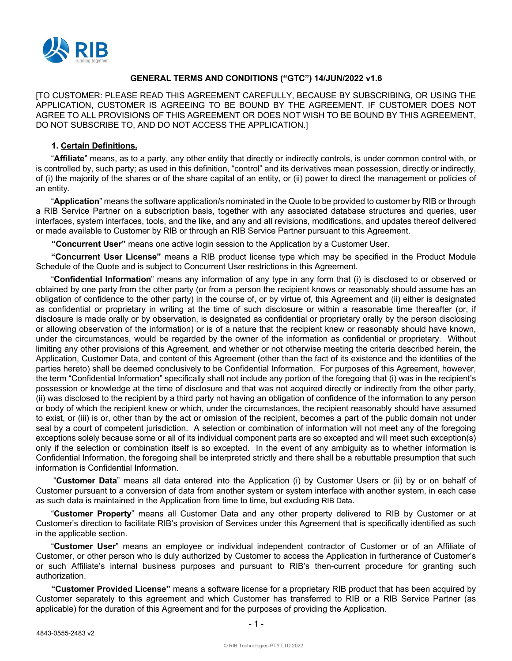

## **GENERAL TERMS AND CONDITIONS ("GTC") 14/JUN/2022 v1.6**

[TO CUSTOMER: PLEASE READ THIS AGREEMENT CAREFULLY, BECAUSE BY SUBSCRIBING, OR USING THE APPLICATION, CUSTOMER IS AGREEING TO BE BOUND BY THE AGREEMENT. IF CUSTOMER DOES NOT AGREE TO ALL PROVISIONS OF THIS AGREEMENT OR DOES NOT WISH TO BE BOUND BY THIS AGREEMENT, DO NOT SUBSCRIBE TO, AND DO NOT ACCESS THE APPLICATION.]

#### **1. Certain Definitions.**

"**Affiliate**" means, as to a party, any other entity that directly or indirectly controls, is under common control with, or is controlled by, such party; as used in this definition, "control" and its derivatives mean possession, directly or indirectly, of (i) the majority of the shares or of the share capital of an entity, or (ii) power to direct the management or policies of an entity.

"**Application**" means the software application/s nominated in the Quote to be provided to customer by RIB or through a RIB Service Partner on a subscription basis, together with any associated database structures and queries, user interfaces, system interfaces, tools, and the like, and any and all revisions, modifications, and updates thereof delivered or made available to Customer by RIB or through an RIB Service Partner pursuant to this Agreement.

**"Concurrent User"** means one active login session to the Application by a Customer User.

**"Concurrent User License"** means a RIB product license type which may be specified in the Product Module Schedule of the Quote and is subject to Concurrent User restrictions in this Agreement.

"**Confidential Information**" means any information of any type in any form that (i) is disclosed to or observed or obtained by one party from the other party (or from a person the recipient knows or reasonably should assume has an obligation of confidence to the other party) in the course of, or by virtue of, this Agreement and (ii) either is designated as confidential or proprietary in writing at the time of such disclosure or within a reasonable time thereafter (or, if disclosure is made orally or by observation, is designated as confidential or proprietary orally by the person disclosing or allowing observation of the information) or is of a nature that the recipient knew or reasonably should have known, under the circumstances, would be regarded by the owner of the information as confidential or proprietary. Without limiting any other provisions of this Agreement, and whether or not otherwise meeting the criteria described herein, the Application, Customer Data, and content of this Agreement (other than the fact of its existence and the identities of the parties hereto) shall be deemed conclusively to be Confidential Information. For purposes of this Agreement, however, the term "Confidential Information" specifically shall not include any portion of the foregoing that (i) was in the recipient's possession or knowledge at the time of disclosure and that was not acquired directly or indirectly from the other party, (ii) was disclosed to the recipient by a third party not having an obligation of confidence of the information to any person or body of which the recipient knew or which, under the circumstances, the recipient reasonably should have assumed to exist, or (iii) is or, other than by the act or omission of the recipient, becomes a part of the public domain not under seal by a court of competent jurisdiction. A selection or combination of information will not meet any of the foregoing exceptions solely because some or all of its individual component parts are so excepted and will meet such exception(s) only if the selection or combination itself is so excepted. In the event of any ambiguity as to whether information is Confidential Information, the foregoing shall be interpreted strictly and there shall be a rebuttable presumption that such information is Confidential Information.

"**Customer Data**" means all data entered into the Application (i) by Customer Users or (ii) by or on behalf of Customer pursuant to a conversion of data from another system or system interface with another system, in each case as such data is maintained in the Application from time to time, but excluding RIB Data.

"**Customer Property**" means all Customer Data and any other property delivered to RIB by Customer or at Customer's direction to facilitate RIB's provision of Services under this Agreement that is specifically identified as such in the applicable section.

"**Customer User**" means an employee or individual independent contractor of Customer or of an Affiliate of Customer, or other person who is duly authorized by Customer to access the Application in furtherance of Customer's or such Affiliate's internal business purposes and pursuant to RIB's then-current procedure for granting such authorization.

**"Customer Provided License"** means a software license for a proprietary RIB product that has been acquired by Customer separately to this agreement and which Customer has transferred to RIB or a RIB Service Partner (as applicable) for the duration of this Agreement and for the purposes of providing the Application.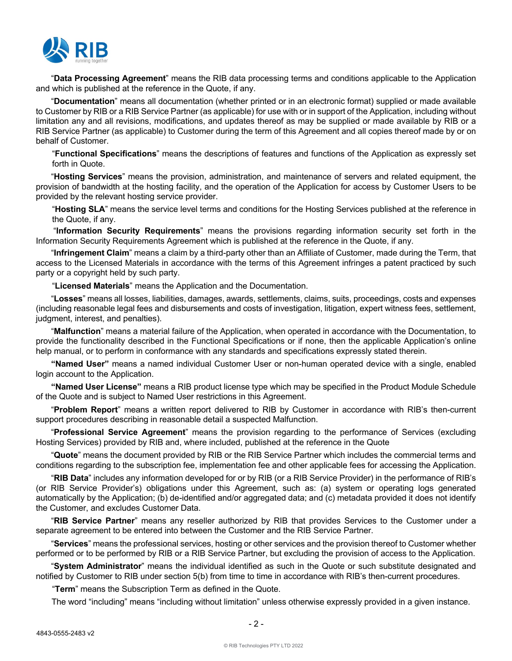

"**Data Processing Agreement**" means the RIB data processing terms and conditions applicable to the Application and which is published at the reference in the Quote, if any.

"**Documentation**" means all documentation (whether printed or in an electronic format) supplied or made available to Customer by RIB or a RIB Service Partner (as applicable) for use with or in support of the Application, including without limitation any and all revisions, modifications, and updates thereof as may be supplied or made available by RIB or a RIB Service Partner (as applicable) to Customer during the term of this Agreement and all copies thereof made by or on behalf of Customer.

"**Functional Specifications**" means the descriptions of features and functions of the Application as expressly set forth in Quote.

"**Hosting Services**" means the provision, administration, and maintenance of servers and related equipment, the provision of bandwidth at the hosting facility, and the operation of the Application for access by Customer Users to be provided by the relevant hosting service provider.

"**Hosting SLA**" means the service level terms and conditions for the Hosting Services published at the reference in the Quote, if any.

"**Information Security Requirements**" means the provisions regarding information security set forth in the Information Security Requirements Agreement which is published at the reference in the Quote, if any.

"**Infringement Claim**" means a claim by a third-party other than an Affiliate of Customer, made during the Term, that access to the Licensed Materials in accordance with the terms of this Agreement infringes a patent practiced by such party or a copyright held by such party.

"**Licensed Materials**" means the Application and the Documentation.

"**Losses**" means all losses, liabilities, damages, awards, settlements, claims, suits, proceedings, costs and expenses (including reasonable legal fees and disbursements and costs of investigation, litigation, expert witness fees, settlement, judgment, interest, and penalties).

"**Malfunction**" means a material failure of the Application, when operated in accordance with the Documentation, to provide the functionality described in the Functional Specifications or if none, then the applicable Application's online help manual, or to perform in conformance with any standards and specifications expressly stated therein.

**"Named User"** means a named individual Customer User or non-human operated device with a single, enabled login account to the Application.

**"Named User License"** means a RIB product license type which may be specified in the Product Module Schedule of the Quote and is subject to Named User restrictions in this Agreement.

"**Problem Report**" means a written report delivered to RIB by Customer in accordance with RIB's then-current support procedures describing in reasonable detail a suspected Malfunction.

"**Professional Service Agreement**" means the provision regarding to the performance of Services (excluding Hosting Services) provided by RIB and, where included, published at the reference in the Quote

"**Quote**" means the document provided by RIB or the RIB Service Partner which includes the commercial terms and conditions regarding to the subscription fee, implementation fee and other applicable fees for accessing the Application.

"**RIB Data**" includes any information developed for or by RIB (or a RIB Service Provider) in the performance of RIB's (or RIB Service Provider's) obligations under this Agreement, such as: (a) system or operating logs generated automatically by the Application; (b) de-identified and/or aggregated data; and (c) metadata provided it does not identify the Customer, and excludes Customer Data.

"**RIB Service Partner**" means any reseller authorized by RIB that provides Services to the Customer under a separate agreement to be entered into between the Customer and the RIB Service Partner.

"**Services**" means the professional services, hosting or other services and the provision thereof to Customer whether performed or to be performed by RIB or a RIB Service Partner, but excluding the provision of access to the Application.

"**System Administrator**" means the individual identified as such in the Quote or such substitute designated and notified by Customer to RIB under section 5(b) from time to time in accordance with RIB's then-current procedures.

"**Term**" means the Subscription Term as defined in the Quote.

The word "including" means "including without limitation" unless otherwise expressly provided in a given instance.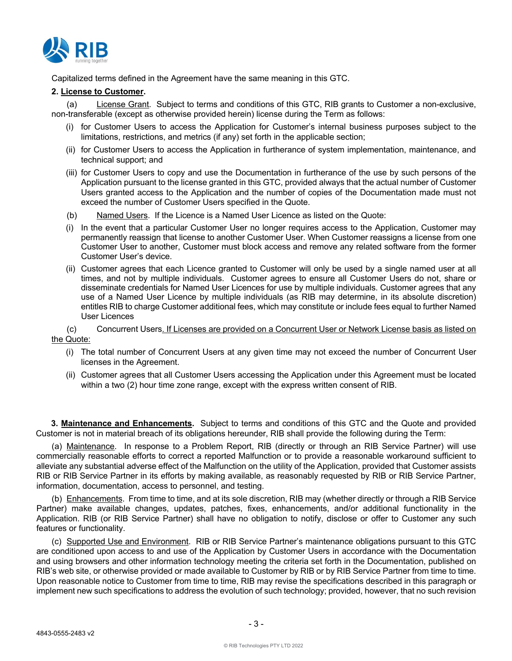

Capitalized terms defined in the Agreement have the same meaning in this GTC.

### **2. License to Customer.**

(a) License Grant. Subject to terms and conditions of this GTC, RIB grants to Customer a non-exclusive, non-transferable (except as otherwise provided herein) license during the Term as follows:

- (i) for Customer Users to access the Application for Customer's internal business purposes subject to the limitations, restrictions, and metrics (if any) set forth in the applicable section;
- (ii) for Customer Users to access the Application in furtherance of system implementation, maintenance, and technical support; and
- (iii) for Customer Users to copy and use the Documentation in furtherance of the use by such persons of the Application pursuant to the license granted in this GTC, provided always that the actual number of Customer Users granted access to the Application and the number of copies of the Documentation made must not exceed the number of Customer Users specified in the Quote.
- (b) Named Users. If the Licence is a Named User Licence as listed on the Quote:
- (i) In the event that a particular Customer User no longer requires access to the Application, Customer may permanently reassign that license to another Customer User. When Customer reassigns a license from one Customer User to another, Customer must block access and remove any related software from the former Customer User's device.
- (ii) Customer agrees that each Licence granted to Customer will only be used by a single named user at all times, and not by multiple individuals. Customer agrees to ensure all Customer Users do not, share or disseminate credentials for Named User Licences for use by multiple individuals. Customer agrees that any use of a Named User Licence by multiple individuals (as RIB may determine, in its absolute discretion) entitles RIB to charge Customer additional fees, which may constitute or include fees equal to further Named User Licences

(c) Concurrent Users. If Licenses are provided on a Concurrent User or Network License basis as listed on the Quote:

- (i) The total number of Concurrent Users at any given time may not exceed the number of Concurrent User licenses in the Agreement.
- (ii) Customer agrees that all Customer Users accessing the Application under this Agreement must be located within a two (2) hour time zone range, except with the express written consent of RIB.

**3. Maintenance and Enhancements.** Subject to terms and conditions of this GTC and the Quote and provided Customer is not in material breach of its obligations hereunder, RIB shall provide the following during the Term:

(a) Maintenance. In response to a Problem Report, RIB (directly or through an RIB Service Partner) will use commercially reasonable efforts to correct a reported Malfunction or to provide a reasonable workaround sufficient to alleviate any substantial adverse effect of the Malfunction on the utility of the Application, provided that Customer assists RIB or RIB Service Partner in its efforts by making available, as reasonably requested by RIB or RIB Service Partner, information, documentation, access to personnel, and testing.

(b) Enhancements. From time to time, and at its sole discretion, RIB may (whether directly or through a RIB Service Partner) make available changes, updates, patches, fixes, enhancements, and/or additional functionality in the Application. RIB (or RIB Service Partner) shall have no obligation to notify, disclose or offer to Customer any such features or functionality.

(c) Supported Use and Environment. RIB or RIB Service Partner's maintenance obligations pursuant to this GTC are conditioned upon access to and use of the Application by Customer Users in accordance with the Documentation and using browsers and other information technology meeting the criteria set forth in the Documentation, published on RIB's web site, or otherwise provided or made available to Customer by RIB or by RIB Service Partner from time to time. Upon reasonable notice to Customer from time to time, RIB may revise the specifications described in this paragraph or implement new such specifications to address the evolution of such technology; provided, however, that no such revision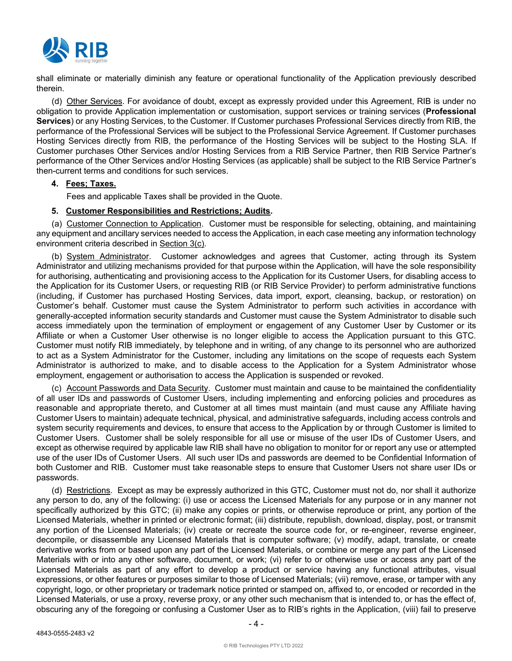

shall eliminate or materially diminish any feature or operational functionality of the Application previously described therein.

(d) Other Services. For avoidance of doubt, except as expressly provided under this Agreement, RIB is under no obligation to provide Application implementation or customisation, support services or training services (**Professional Services**) or any Hosting Services, to the Customer. If Customer purchases Professional Services directly from RIB, the performance of the Professional Services will be subject to the Professional Service Agreement. If Customer purchases Hosting Services directly from RIB, the performance of the Hosting Services will be subject to the Hosting SLA. If Customer purchases Other Services and/or Hosting Services from a RIB Service Partner, then RIB Service Partner's performance of the Other Services and/or Hosting Services (as applicable) shall be subject to the RIB Service Partner's then-current terms and conditions for such services.

## **4. Fees; Taxes.**

Fees and applicable Taxes shall be provided in the Quote.

#### **5. Customer Responsibilities and Restrictions; Audits.**

(a) Customer Connection to Application. Customer must be responsible for selecting, obtaining, and maintaining any equipment and ancillary services needed to access the Application, in each case meeting any information technology environment criteria described in Section 3(c).

(b) System Administrator. Customer acknowledges and agrees that Customer, acting through its System Administrator and utilizing mechanisms provided for that purpose within the Application, will have the sole responsibility for authorising, authenticating and provisioning access to the Application for its Customer Users, for disabling access to the Application for its Customer Users, or requesting RIB (or RIB Service Provider) to perform administrative functions (including, if Customer has purchased Hosting Services, data import, export, cleansing, backup, or restoration) on Customer's behalf. Customer must cause the System Administrator to perform such activities in accordance with generally-accepted information security standards and Customer must cause the System Administrator to disable such access immediately upon the termination of employment or engagement of any Customer User by Customer or its Affiliate or when a Customer User otherwise is no longer eligible to access the Application pursuant to this GTC. Customer must notify RIB immediately, by telephone and in writing, of any change to its personnel who are authorized to act as a System Administrator for the Customer, including any limitations on the scope of requests each System Administrator is authorized to make, and to disable access to the Application for a System Administrator whose employment, engagement or authorisation to access the Application is suspended or revoked.

(c) Account Passwords and Data Security. Customer must maintain and cause to be maintained the confidentiality of all user IDs and passwords of Customer Users, including implementing and enforcing policies and procedures as reasonable and appropriate thereto, and Customer at all times must maintain (and must cause any Affiliate having Customer Users to maintain) adequate technical, physical, and administrative safeguards, including access controls and system security requirements and devices, to ensure that access to the Application by or through Customer is limited to Customer Users. Customer shall be solely responsible for all use or misuse of the user IDs of Customer Users, and except as otherwise required by applicable law RIB shall have no obligation to monitor for or report any use or attempted use of the user IDs of Customer Users. All such user IDs and passwords are deemed to be Confidential Information of both Customer and RIB. Customer must take reasonable steps to ensure that Customer Users not share user IDs or passwords.

(d) Restrictions. Except as may be expressly authorized in this GTC, Customer must not do, nor shall it authorize any person to do, any of the following: (i) use or access the Licensed Materials for any purpose or in any manner not specifically authorized by this GTC; (ii) make any copies or prints, or otherwise reproduce or print, any portion of the Licensed Materials, whether in printed or electronic format; (iii) distribute, republish, download, display, post, or transmit any portion of the Licensed Materials; (iv) create or recreate the source code for, or re-engineer, reverse engineer, decompile, or disassemble any Licensed Materials that is computer software; (v) modify, adapt, translate, or create derivative works from or based upon any part of the Licensed Materials, or combine or merge any part of the Licensed Materials with or into any other software, document, or work; (vi) refer to or otherwise use or access any part of the Licensed Materials as part of any effort to develop a product or service having any functional attributes, visual expressions, or other features or purposes similar to those of Licensed Materials; (vii) remove, erase, or tamper with any copyright, logo, or other proprietary or trademark notice printed or stamped on, affixed to, or encoded or recorded in the Licensed Materials, or use a proxy, reverse proxy, or any other such mechanism that is intended to, or has the effect of, obscuring any of the foregoing or confusing a Customer User as to RIB's rights in the Application, (viii) fail to preserve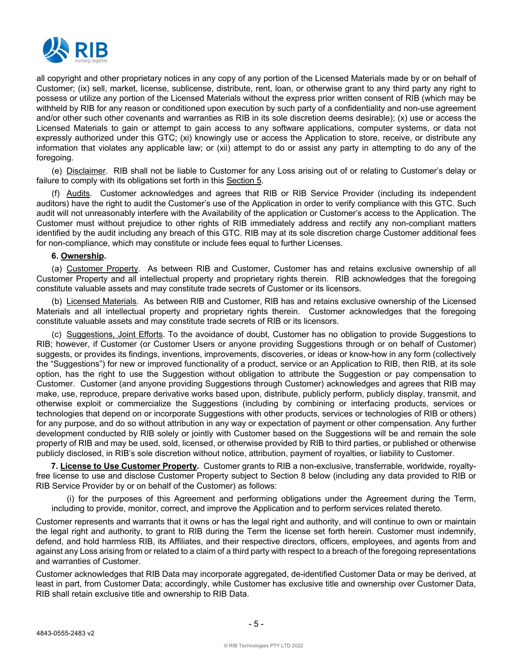

all copyright and other proprietary notices in any copy of any portion of the Licensed Materials made by or on behalf of Customer; (ix) sell, market, license, sublicense, distribute, rent, loan, or otherwise grant to any third party any right to possess or utilize any portion of the Licensed Materials without the express prior written consent of RIB (which may be withheld by RIB for any reason or conditioned upon execution by such party of a confidentiality and non-use agreement and/or other such other covenants and warranties as RIB in its sole discretion deems desirable); (x) use or access the Licensed Materials to gain or attempt to gain access to any software applications, computer systems, or data not expressly authorized under this GTC; (xi) knowingly use or access the Application to store, receive, or distribute any information that violates any applicable law; or (xii) attempt to do or assist any party in attempting to do any of the foregoing.

(e) Disclaimer. RIB shall not be liable to Customer for any Loss arising out of or relating to Customer's delay or failure to comply with its obligations set forth in this Section 5.

(f) Audits. Customer acknowledges and agrees that RIB or RIB Service Provider (including its independent auditors) have the right to audit the Customer's use of the Application in order to verify compliance with this GTC. Such audit will not unreasonably interfere with the Availability of the application or Customer's access to the Application. The Customer must without prejudice to other rights of RIB immediately address and rectify any non-compliant matters identified by the audit including any breach of this GTC. RIB may at its sole discretion charge Customer additional fees for non-compliance, which may constitute or include fees equal to further Licenses.

### **6. Ownership.**

(a) Customer Property. As between RIB and Customer, Customer has and retains exclusive ownership of all Customer Property and all intellectual property and proprietary rights therein. RIB acknowledges that the foregoing constitute valuable assets and may constitute trade secrets of Customer or its licensors.

(b) Licensed Materials. As between RIB and Customer, RIB has and retains exclusive ownership of the Licensed Materials and all intellectual property and proprietary rights therein. Customer acknowledges that the foregoing constitute valuable assets and may constitute trade secrets of RIB or its licensors.

(c) Suggestions, Joint Efforts. To the avoidance of doubt, Customer has no obligation to provide Suggestions to RIB; however, if Customer (or Customer Users or anyone providing Suggestions through or on behalf of Customer) suggests, or provides its findings, inventions, improvements, discoveries, or ideas or know-how in any form (collectively the "Suggestions") for new or improved functionality of a product, service or an Application to RIB, then RIB, at its sole option, has the right to use the Suggestion without obligation to attribute the Suggestion or pay compensation to Customer. Customer (and anyone providing Suggestions through Customer) acknowledges and agrees that RIB may make, use, reproduce, prepare derivative works based upon, distribute, publicly perform, publicly display, transmit, and otherwise exploit or commercialize the Suggestions (including by combining or interfacing products, services or technologies that depend on or incorporate Suggestions with other products, services or technologies of RIB or others) for any purpose, and do so without attribution in any way or expectation of payment or other compensation. Any further development conducted by RIB solely or jointly with Customer based on the Suggestions will be and remain the sole property of RIB and may be used, sold, licensed, or otherwise provided by RIB to third parties, or published or otherwise publicly disclosed, in RIB's sole discretion without notice, attribution, payment of royalties, or liability to Customer.

**7. License to Use Customer Property.** Customer grants to RIB a non-exclusive, transferrable, worldwide, royaltyfree license to use and disclose Customer Property subject to Section 8 below (including any data provided to RIB or RIB Service Provider by or on behalf of the Customer) as follows:

(i) for the purposes of this Agreement and performing obligations under the Agreement during the Term, including to provide, monitor, correct, and improve the Application and to perform services related thereto.

Customer represents and warrants that it owns or has the legal right and authority, and will continue to own or maintain the legal right and authority, to grant to RIB during the Term the license set forth herein. Customer must indemnify, defend, and hold harmless RIB, its Affiliates, and their respective directors, officers, employees, and agents from and against any Loss arising from or related to a claim of a third party with respect to a breach of the foregoing representations and warranties of Customer.

Customer acknowledges that RIB Data may incorporate aggregated, de-identified Customer Data or may be derived, at least in part, from Customer Data; accordingly, while Customer has exclusive title and ownership over Customer Data, RIB shall retain exclusive title and ownership to RIB Data.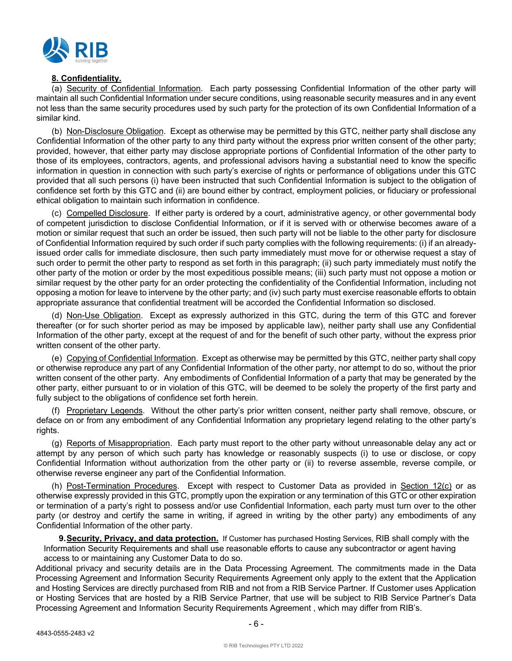

## **8. Confidentiality.**

(a) Security of Confidential Information. Each party possessing Confidential Information of the other party will maintain all such Confidential Information under secure conditions, using reasonable security measures and in any event not less than the same security procedures used by such party for the protection of its own Confidential Information of a similar kind.

(b) Non-Disclosure Obligation. Except as otherwise may be permitted by this GTC, neither party shall disclose any Confidential Information of the other party to any third party without the express prior written consent of the other party; provided, however, that either party may disclose appropriate portions of Confidential Information of the other party to those of its employees, contractors, agents, and professional advisors having a substantial need to know the specific information in question in connection with such party's exercise of rights or performance of obligations under this GTC provided that all such persons (i) have been instructed that such Confidential Information is subject to the obligation of confidence set forth by this GTC and (ii) are bound either by contract, employment policies, or fiduciary or professional ethical obligation to maintain such information in confidence.

(c) Compelled Disclosure. If either party is ordered by a court, administrative agency, or other governmental body of competent jurisdiction to disclose Confidential Information, or if it is served with or otherwise becomes aware of a motion or similar request that such an order be issued, then such party will not be liable to the other party for disclosure of Confidential Information required by such order if such party complies with the following requirements: (i) if an alreadyissued order calls for immediate disclosure, then such party immediately must move for or otherwise request a stay of such order to permit the other party to respond as set forth in this paragraph; (ii) such party immediately must notify the other party of the motion or order by the most expeditious possible means; (iii) such party must not oppose a motion or similar request by the other party for an order protecting the confidentiality of the Confidential Information, including not opposing a motion for leave to intervene by the other party; and (iv) such party must exercise reasonable efforts to obtain appropriate assurance that confidential treatment will be accorded the Confidential Information so disclosed.

(d) Non-Use Obligation. Except as expressly authorized in this GTC, during the term of this GTC and forever thereafter (or for such shorter period as may be imposed by applicable law), neither party shall use any Confidential Information of the other party, except at the request of and for the benefit of such other party, without the express prior written consent of the other party.

(e) Copying of Confidential Information. Except as otherwise may be permitted by this GTC, neither party shall copy or otherwise reproduce any part of any Confidential Information of the other party, nor attempt to do so, without the prior written consent of the other party. Any embodiments of Confidential Information of a party that may be generated by the other party, either pursuant to or in violation of this GTC, will be deemed to be solely the property of the first party and fully subject to the obligations of confidence set forth herein.

(f) Proprietary Legends. Without the other party's prior written consent, neither party shall remove, obscure, or deface on or from any embodiment of any Confidential Information any proprietary legend relating to the other party's rights.

(g) Reports of Misappropriation. Each party must report to the other party without unreasonable delay any act or attempt by any person of which such party has knowledge or reasonably suspects (i) to use or disclose, or copy Confidential Information without authorization from the other party or (ii) to reverse assemble, reverse compile, or otherwise reverse engineer any part of the Confidential Information.

(h) Post-Termination Procedures. Except with respect to Customer Data as provided in Section 12(c) or as otherwise expressly provided in this GTC, promptly upon the expiration or any termination of this GTC or other expiration or termination of a party's right to possess and/or use Confidential Information, each party must turn over to the other party (or destroy and certify the same in writing, if agreed in writing by the other party) any embodiments of any Confidential Information of the other party.

**9.Security, Privacy, and data protection.** If Customer has purchased Hosting Services, RIB shall comply with the Information Security Requirements and shall use reasonable efforts to cause any subcontractor or agent having access to or maintaining any Customer Data to do so.

Additional privacy and security details are in the Data Processing Agreement. The commitments made in the Data Processing Agreement and Information Security Requirements Agreement only apply to the extent that the Application and Hosting Services are directly purchased from RIB and not from a RIB Service Partner. If Customer uses Application or Hosting Services that are hosted by a RIB Service Partner, that use will be subject to RIB Service Partner's Data Processing Agreement and Information Security Requirements Agreement , which may differ from RIB's.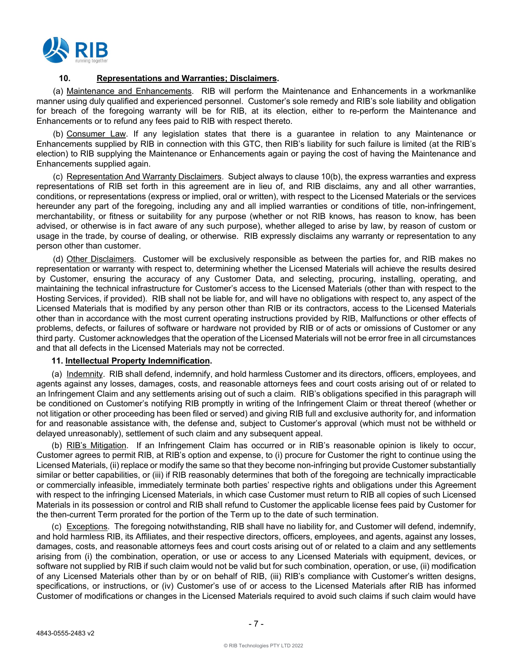

# **10. Representations and Warranties; Disclaimers.**

(a) Maintenance and Enhancements. RIB will perform the Maintenance and Enhancements in a workmanlike manner using duly qualified and experienced personnel. Customer's sole remedy and RIB's sole liability and obligation for breach of the foregoing warranty will be for RIB, at its election, either to re-perform the Maintenance and Enhancements or to refund any fees paid to RIB with respect thereto.

(b) Consumer Law. If any legislation states that there is a guarantee in relation to any Maintenance or Enhancements supplied by RIB in connection with this GTC, then RIB's liability for such failure is limited (at the RIB's election) to RIB supplying the Maintenance or Enhancements again or paying the cost of having the Maintenance and Enhancements supplied again.

(c) Representation And Warranty Disclaimers. Subject always to clause 10(b), the express warranties and express representations of RIB set forth in this agreement are in lieu of, and RIB disclaims, any and all other warranties, conditions, or representations (express or implied, oral or written), with respect to the Licensed Materials or the services hereunder any part of the foregoing, including any and all implied warranties or conditions of title, non-infringement, merchantability, or fitness or suitability for any purpose (whether or not RIB knows, has reason to know, has been advised, or otherwise is in fact aware of any such purpose), whether alleged to arise by law, by reason of custom or usage in the trade, by course of dealing, or otherwise. RIB expressly disclaims any warranty or representation to any person other than customer.

(d) Other Disclaimers. Customer will be exclusively responsible as between the parties for, and RIB makes no representation or warranty with respect to, determining whether the Licensed Materials will achieve the results desired by Customer, ensuring the accuracy of any Customer Data, and selecting, procuring, installing, operating, and maintaining the technical infrastructure for Customer's access to the Licensed Materials (other than with respect to the Hosting Services, if provided). RIB shall not be liable for, and will have no obligations with respect to, any aspect of the Licensed Materials that is modified by any person other than RIB or its contractors, access to the Licensed Materials other than in accordance with the most current operating instructions provided by RIB, Malfunctions or other effects of problems, defects, or failures of software or hardware not provided by RIB or of acts or omissions of Customer or any third party. Customer acknowledges that the operation of the Licensed Materials will not be error free in all circumstances and that all defects in the Licensed Materials may not be corrected.

#### **11. Intellectual Property Indemnification.**

(a) Indemnity. RIB shall defend, indemnify, and hold harmless Customer and its directors, officers, employees, and agents against any losses, damages, costs, and reasonable attorneys fees and court costs arising out of or related to an Infringement Claim and any settlements arising out of such a claim. RIB's obligations specified in this paragraph will be conditioned on Customer's notifying RIB promptly in writing of the Infringement Claim or threat thereof (whether or not litigation or other proceeding has been filed or served) and giving RIB full and exclusive authority for, and information for and reasonable assistance with, the defense and, subject to Customer's approval (which must not be withheld or delayed unreasonably), settlement of such claim and any subsequent appeal.

(b) RIB's Mitigation. If an Infringement Claim has occurred or in RIB's reasonable opinion is likely to occur, Customer agrees to permit RIB, at RIB's option and expense, to (i) procure for Customer the right to continue using the Licensed Materials, (ii) replace or modify the same so that they become non-infringing but provide Customer substantially similar or better capabilities, or (iii) if RIB reasonably determines that both of the foregoing are technically impracticable or commercially infeasible, immediately terminate both parties' respective rights and obligations under this Agreement with respect to the infringing Licensed Materials, in which case Customer must return to RIB all copies of such Licensed Materials in its possession or control and RIB shall refund to Customer the applicable license fees paid by Customer for the then-current Term prorated for the portion of the Term up to the date of such termination.

(c) Exceptions. The foregoing notwithstanding, RIB shall have no liability for, and Customer will defend, indemnify, and hold harmless RIB, its Affiliates, and their respective directors, officers, employees, and agents, against any losses, damages, costs, and reasonable attorneys fees and court costs arising out of or related to a claim and any settlements arising from (i) the combination, operation, or use or access to any Licensed Materials with equipment, devices, or software not supplied by RIB if such claim would not be valid but for such combination, operation, or use, (ii) modification of any Licensed Materials other than by or on behalf of RIB, (iii) RIB's compliance with Customer's written designs, specifications, or instructions, or (iv) Customer's use of or access to the Licensed Materials after RIB has informed Customer of modifications or changes in the Licensed Materials required to avoid such claims if such claim would have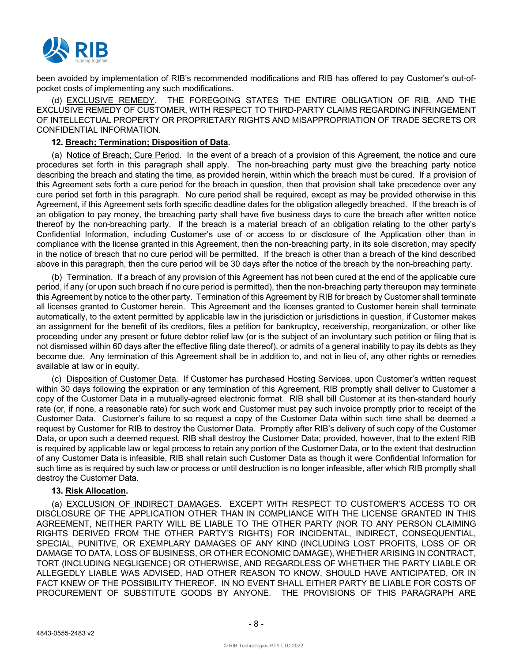

been avoided by implementation of RIB's recommended modifications and RIB has offered to pay Customer's out-ofpocket costs of implementing any such modifications.

(d) EXCLUSIVE REMEDY. THE FOREGOING STATES THE ENTIRE OBLIGATION OF RIB, AND THE EXCLUSIVE REMEDY OF CUSTOMER, WITH RESPECT TO THIRD-PARTY CLAIMS REGARDING INFRINGEMENT OF INTELLECTUAL PROPERTY OR PROPRIETARY RIGHTS AND MISAPPROPRIATION OF TRADE SECRETS OR CONFIDENTIAL INFORMATION.

## **12. Breach; Termination; Disposition of Data.**

(a) Notice of Breach; Cure Period. In the event of a breach of a provision of this Agreement, the notice and cure procedures set forth in this paragraph shall apply. The non-breaching party must give the breaching party notice describing the breach and stating the time, as provided herein, within which the breach must be cured. If a provision of this Agreement sets forth a cure period for the breach in question, then that provision shall take precedence over any cure period set forth in this paragraph. No cure period shall be required, except as may be provided otherwise in this Agreement, if this Agreement sets forth specific deadline dates for the obligation allegedly breached. If the breach is of an obligation to pay money, the breaching party shall have five business days to cure the breach after written notice thereof by the non-breaching party. If the breach is a material breach of an obligation relating to the other party's Confidential Information, including Customer's use of or access to or disclosure of the Application other than in compliance with the license granted in this Agreement, then the non-breaching party, in its sole discretion, may specify in the notice of breach that no cure period will be permitted. If the breach is other than a breach of the kind described above in this paragraph, then the cure period will be 30 days after the notice of the breach by the non-breaching party.

(b) Termination. If a breach of any provision of this Agreement has not been cured at the end of the applicable cure period, if any (or upon such breach if no cure period is permitted), then the non-breaching party thereupon may terminate this Agreement by notice to the other party. Termination of this Agreement by RIB for breach by Customer shall terminate all licenses granted to Customer herein. This Agreement and the licenses granted to Customer herein shall terminate automatically, to the extent permitted by applicable law in the jurisdiction or jurisdictions in question, if Customer makes an assignment for the benefit of its creditors, files a petition for bankruptcy, receivership, reorganization, or other like proceeding under any present or future debtor relief law (or is the subject of an involuntary such petition or filing that is not dismissed within 60 days after the effective filing date thereof), or admits of a general inability to pay its debts as they become due. Any termination of this Agreement shall be in addition to, and not in lieu of, any other rights or remedies available at law or in equity.

(c) Disposition of Customer Data. If Customer has purchased Hosting Services, upon Customer's written request within 30 days following the expiration or any termination of this Agreement, RIB promptly shall deliver to Customer a copy of the Customer Data in a mutually-agreed electronic format. RIB shall bill Customer at its then-standard hourly rate (or, if none, a reasonable rate) for such work and Customer must pay such invoice promptly prior to receipt of the Customer Data. Customer's failure to so request a copy of the Customer Data within such time shall be deemed a request by Customer for RIB to destroy the Customer Data. Promptly after RIB's delivery of such copy of the Customer Data, or upon such a deemed request, RIB shall destroy the Customer Data; provided, however, that to the extent RIB is required by applicable law or legal process to retain any portion of the Customer Data, or to the extent that destruction of any Customer Data is infeasible, RIB shall retain such Customer Data as though it were Confidential Information for such time as is required by such law or process or until destruction is no longer infeasible, after which RIB promptly shall destroy the Customer Data.

#### **13. Risk Allocation.**

(a) EXCLUSION OF INDIRECT DAMAGES. EXCEPT WITH RESPECT TO CUSTOMER'S ACCESS TO OR DISCLOSURE OF THE APPLICATION OTHER THAN IN COMPLIANCE WITH THE LICENSE GRANTED IN THIS AGREEMENT, NEITHER PARTY WILL BE LIABLE TO THE OTHER PARTY (NOR TO ANY PERSON CLAIMING RIGHTS DERIVED FROM THE OTHER PARTY'S RIGHTS) FOR INCIDENTAL, INDIRECT, CONSEQUENTIAL, SPECIAL, PUNITIVE, OR EXEMPLARY DAMAGES OF ANY KIND (INCLUDING LOST PROFITS, LOSS OF OR DAMAGE TO DATA, LOSS OF BUSINESS, OR OTHER ECONOMIC DAMAGE), WHETHER ARISING IN CONTRACT, TORT (INCLUDING NEGLIGENCE) OR OTHERWISE, AND REGARDLESS OF WHETHER THE PARTY LIABLE OR ALLEGEDLY LIABLE WAS ADVISED, HAD OTHER REASON TO KNOW, SHOULD HAVE ANTICIPATED, OR IN FACT KNEW OF THE POSSIBILITY THEREOF. IN NO EVENT SHALL EITHER PARTY BE LIABLE FOR COSTS OF PROCUREMENT OF SUBSTITUTE GOODS BY ANYONE. THE PROVISIONS OF THIS PARAGRAPH ARE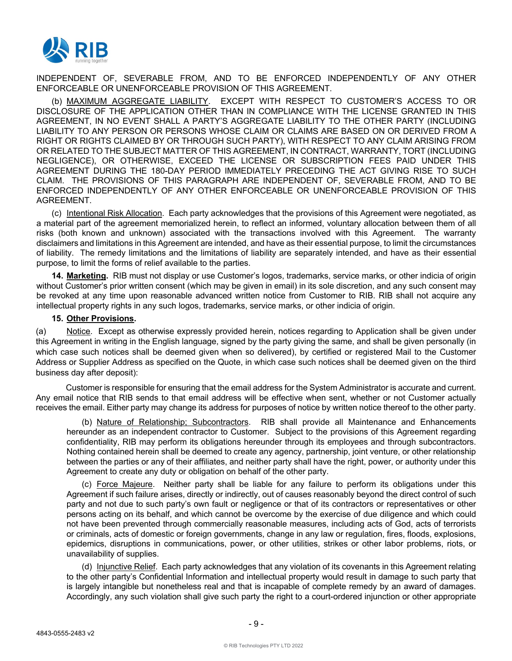

INDEPENDENT OF, SEVERABLE FROM, AND TO BE ENFORCED INDEPENDENTLY OF ANY OTHER ENFORCEABLE OR UNENFORCEABLE PROVISION OF THIS AGREEMENT.

(b) MAXIMUM AGGREGATE LIABILITY. EXCEPT WITH RESPECT TO CUSTOMER'S ACCESS TO OR DISCLOSURE OF THE APPLICATION OTHER THAN IN COMPLIANCE WITH THE LICENSE GRANTED IN THIS AGREEMENT, IN NO EVENT SHALL A PARTY'S AGGREGATE LIABILITY TO THE OTHER PARTY (INCLUDING LIABILITY TO ANY PERSON OR PERSONS WHOSE CLAIM OR CLAIMS ARE BASED ON OR DERIVED FROM A RIGHT OR RIGHTS CLAIMED BY OR THROUGH SUCH PARTY), WITH RESPECT TO ANY CLAIM ARISING FROM OR RELATED TO THE SUBJECT MATTER OF THIS AGREEMENT, IN CONTRACT, WARRANTY, TORT (INCLUDING NEGLIGENCE), OR OTHERWISE, EXCEED THE LICENSE OR SUBSCRIPTION FEES PAID UNDER THIS AGREEMENT DURING THE 180-DAY PERIOD IMMEDIATELY PRECEDING THE ACT GIVING RISE TO SUCH CLAIM. THE PROVISIONS OF THIS PARAGRAPH ARE INDEPENDENT OF, SEVERABLE FROM, AND TO BE ENFORCED INDEPENDENTLY OF ANY OTHER ENFORCEABLE OR UNENFORCEABLE PROVISION OF THIS AGREEMENT.

(c) Intentional Risk Allocation. Each party acknowledges that the provisions of this Agreement were negotiated, as a material part of the agreement memorialized herein, to reflect an informed, voluntary allocation between them of all risks (both known and unknown) associated with the transactions involved with this Agreement. The warranty disclaimers and limitations in this Agreement are intended, and have as their essential purpose, to limit the circumstances of liability. The remedy limitations and the limitations of liability are separately intended, and have as their essential purpose, to limit the forms of relief available to the parties.

**14. Marketing.** RIB must not display or use Customer's logos, trademarks, service marks, or other indicia of origin without Customer's prior written consent (which may be given in email) in its sole discretion, and any such consent may be revoked at any time upon reasonable advanced written notice from Customer to RIB. RIB shall not acquire any intellectual property rights in any such logos, trademarks, service marks, or other indicia of origin.

### **15. Other Provisions.**

(a) Notice. Except as otherwise expressly provided herein, notices regarding to Application shall be given under this Agreement in writing in the English language, signed by the party giving the same, and shall be given personally (in which case such notices shall be deemed given when so delivered), by certified or registered Mail to the Customer Address or Supplier Address as specified on the Quote, in which case such notices shall be deemed given on the third business day after deposit):

Customer is responsible for ensuring that the email address for the System Administrator is accurate and current. Any email notice that RIB sends to that email address will be effective when sent, whether or not Customer actually receives the email. Either party may change its address for purposes of notice by written notice thereof to the other party.

(b) Nature of Relationship; Subcontractors. RIB shall provide all Maintenance and Enhancements hereunder as an independent contractor to Customer. Subject to the provisions of this Agreement regarding confidentiality, RIB may perform its obligations hereunder through its employees and through subcontractors. Nothing contained herein shall be deemed to create any agency, partnership, joint venture, or other relationship between the parties or any of their affiliates, and neither party shall have the right, power, or authority under this Agreement to create any duty or obligation on behalf of the other party.

(c) Force Majeure. Neither party shall be liable for any failure to perform its obligations under this Agreement if such failure arises, directly or indirectly, out of causes reasonably beyond the direct control of such party and not due to such party's own fault or negligence or that of its contractors or representatives or other persons acting on its behalf, and which cannot be overcome by the exercise of due diligence and which could not have been prevented through commercially reasonable measures, including acts of God, acts of terrorists or criminals, acts of domestic or foreign governments, change in any law or regulation, fires, floods, explosions, epidemics, disruptions in communications, power, or other utilities, strikes or other labor problems, riots, or unavailability of supplies.

(d) Injunctive Relief. Each party acknowledges that any violation of its covenants in this Agreement relating to the other party's Confidential Information and intellectual property would result in damage to such party that is largely intangible but nonetheless real and that is incapable of complete remedy by an award of damages. Accordingly, any such violation shall give such party the right to a court-ordered injunction or other appropriate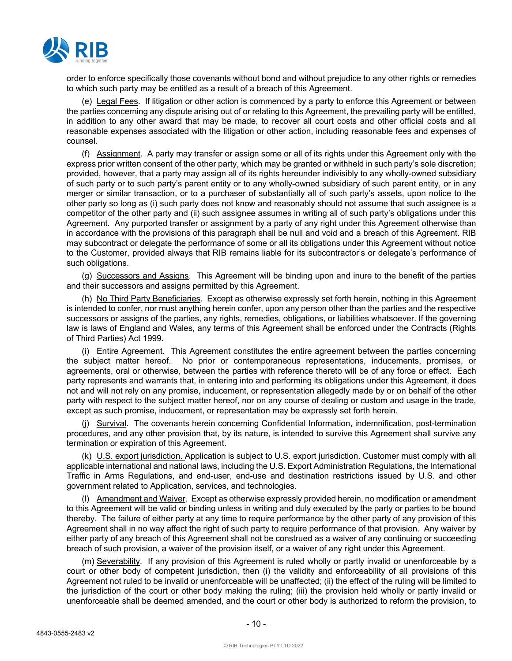

order to enforce specifically those covenants without bond and without prejudice to any other rights or remedies to which such party may be entitled as a result of a breach of this Agreement.

(e) Legal Fees. If litigation or other action is commenced by a party to enforce this Agreement or between the parties concerning any dispute arising out of or relating to this Agreement, the prevailing party will be entitled, in addition to any other award that may be made, to recover all court costs and other official costs and all reasonable expenses associated with the litigation or other action, including reasonable fees and expenses of counsel.

(f) Assignment. A party may transfer or assign some or all of its rights under this Agreement only with the express prior written consent of the other party, which may be granted or withheld in such party's sole discretion; provided, however, that a party may assign all of its rights hereunder indivisibly to any wholly-owned subsidiary of such party or to such party's parent entity or to any wholly-owned subsidiary of such parent entity, or in any merger or similar transaction, or to a purchaser of substantially all of such party's assets, upon notice to the other party so long as (i) such party does not know and reasonably should not assume that such assignee is a competitor of the other party and (ii) such assignee assumes in writing all of such party's obligations under this Agreement. Any purported transfer or assignment by a party of any right under this Agreement otherwise than in accordance with the provisions of this paragraph shall be null and void and a breach of this Agreement. RIB may subcontract or delegate the performance of some or all its obligations under this Agreement without notice to the Customer, provided always that RIB remains liable for its subcontractor's or delegate's performance of such obligations.

(g) Successors and Assigns. This Agreement will be binding upon and inure to the benefit of the parties and their successors and assigns permitted by this Agreement.

(h) No Third Party Beneficiaries. Except as otherwise expressly set forth herein, nothing in this Agreement is intended to confer, nor must anything herein confer, upon any person other than the parties and the respective successors or assigns of the parties, any rights, remedies, obligations, or liabilities whatsoever. If the governing law is laws of England and Wales, any terms of this Agreement shall be enforced under the Contracts (Rights of Third Parties) Act 1999.

(i) Entire Agreement. This Agreement constitutes the entire agreement between the parties concerning the subject matter hereof. No prior or contemporaneous representations, inducements, promises, or agreements, oral or otherwise, between the parties with reference thereto will be of any force or effect. Each party represents and warrants that, in entering into and performing its obligations under this Agreement, it does not and will not rely on any promise, inducement, or representation allegedly made by or on behalf of the other party with respect to the subject matter hereof, nor on any course of dealing or custom and usage in the trade, except as such promise, inducement, or representation may be expressly set forth herein.

(j) Survival. The covenants herein concerning Confidential Information, indemnification, post-termination procedures, and any other provision that, by its nature, is intended to survive this Agreement shall survive any termination or expiration of this Agreement.

(k) U.S. export jurisdiction. Application is subject to U.S. export jurisdiction. Customer must comply with all applicable international and national laws, including the U.S. Export Administration Regulations, the International Traffic in Arms Regulations, and end-user, end-use and destination restrictions issued by U.S. and other government related to Application, services, and technologies.

(I) Amendment and Waiver. Except as otherwise expressly provided herein, no modification or amendment to this Agreement will be valid or binding unless in writing and duly executed by the party or parties to be bound thereby. The failure of either party at any time to require performance by the other party of any provision of this Agreement shall in no way affect the right of such party to require performance of that provision. Any waiver by either party of any breach of this Agreement shall not be construed as a waiver of any continuing or succeeding breach of such provision, a waiver of the provision itself, or a waiver of any right under this Agreement.

(m) Severability. If any provision of this Agreement is ruled wholly or partly invalid or unenforceable by a court or other body of competent jurisdiction, then (i) the validity and enforceability of all provisions of this Agreement not ruled to be invalid or unenforceable will be unaffected; (ii) the effect of the ruling will be limited to the jurisdiction of the court or other body making the ruling; (iii) the provision held wholly or partly invalid or unenforceable shall be deemed amended, and the court or other body is authorized to reform the provision, to